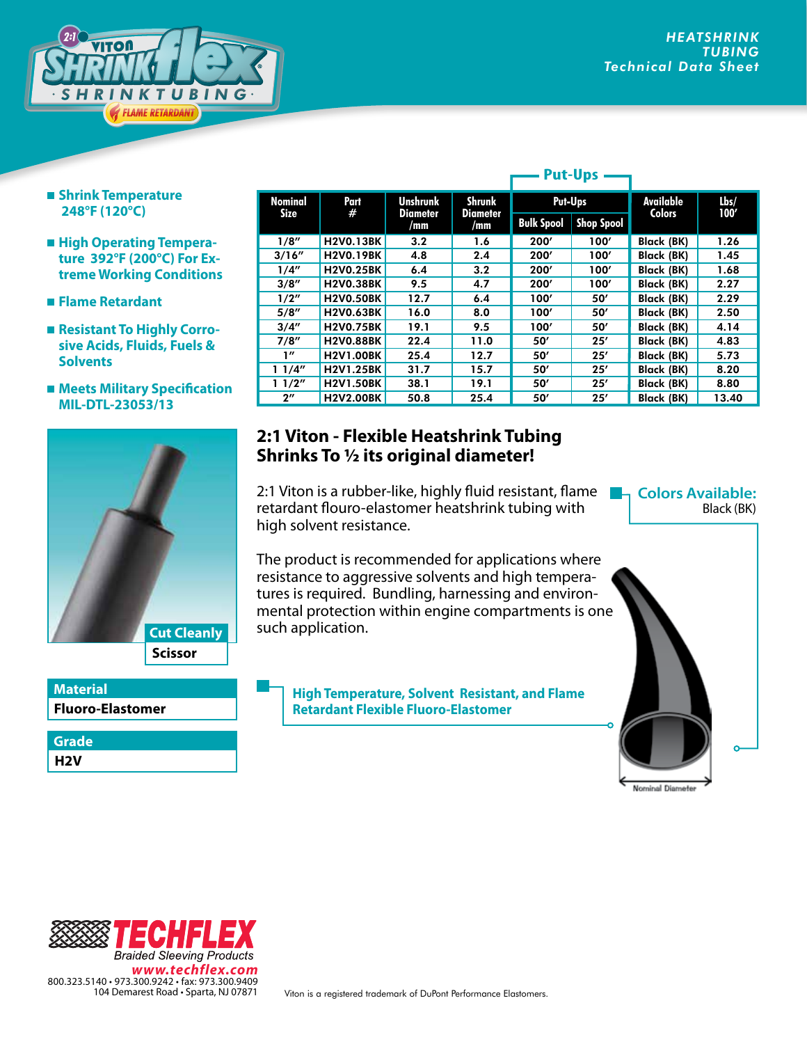

- **Shrink Temperature 248°F (120°C)**
- $\blacksquare$  **High Operating Temperature 392°F (200°C) For Extreme Working Conditions**
- **Flame Retardant**
- Resistant To Highly Corro**sive Acids, Fluids, Fuels & Solvents**
- Meets Military Specification **MIL-DTL-23053/13**



**Fluoro-Elastomer Material**

**H2V Grade**

| <b>Nominal</b>     | Part<br>#        | <b>Unshrunk</b><br><b>Diameter</b><br>/mm | <b>Shrunk</b><br><b>Diameter</b><br>/mm | Put-Ups           |                   | Available         | Lbs/  |
|--------------------|------------------|-------------------------------------------|-----------------------------------------|-------------------|-------------------|-------------------|-------|
| Size               |                  |                                           |                                         | <b>Bulk Spool</b> | <b>Shop Spool</b> | <b>Colors</b>     | 100'  |
| 1/8''              | <b>H2V0.13BK</b> | 3.2                                       | 1.6                                     | 200'              | 100'              | Black (BK)        | 1.26  |
| 3/16''             | <b>H2V0.19BK</b> | 4.8                                       | 2.4                                     | 200'              | 100'              | <b>Black (BK)</b> | 1.45  |
| 1/4"               | <b>H2V0.25BK</b> | 6.4                                       | 3.2                                     | 200'              | 100'              | <b>Black (BK)</b> | 1.68  |
| 3/8''              | <b>H2V0.38BK</b> | 9.5                                       | 4.7                                     | 200'              | 100'              | <b>Black (BK)</b> | 2.27  |
| 1/2"               | <b>H2V0.50BK</b> | 12.7                                      | 6.4                                     | 100'              | 50'               | Black (BK)        | 2.29  |
| 5/8''              | <b>H2V0.63BK</b> | 16.0                                      | 8.0                                     | 100'              | 50'               | Black (BK)        | 2.50  |
| 3/4''              | <b>H2V0.75BK</b> | 19.1                                      | 9.5                                     | 100'              | 50'               | <b>Black (BK)</b> | 4.14  |
| 7/8''              | <b>H2V0.88BK</b> | 22.4                                      | 11.0                                    | 50'               | 25'               | Black (BK)        | 4.83  |
| 1''                | <b>H2V1.00BK</b> | 25.4                                      | 12.7                                    | 50'               | 25'               | <b>Black (BK)</b> | 5.73  |
| 11/4"              | <b>H2V1.25BK</b> | 31.7                                      | 15.7                                    | 50'               | 25'               | Black (BK)        | 8.20  |
| 11/2"              | <b>H2V1.50BK</b> | 38.1                                      | 19.1                                    | 50'               | 25'               | Black (BK)        | 8.80  |
| $2^{\prime\prime}$ | <b>H2V2.00BK</b> | 50.8                                      | 25.4                                    | 50'               | 25'               | <b>Black (BK)</b> | 13.40 |

**Put-Ups**

## **2:1 Viton - Flexible Heatshrink Tubing Shrinks To 1/2 its original diameter!**

2:1 Viton is a rubber-like, highly fluid resistant, flame **Latin, Colors Available:** retardant flouro-elastomer heatshrink tubing with high solvent resistance.

Black (BK)

Nominal Diameter

The product is recommended for applications where resistance to aggressive solvents and high temperatures is required. Bundling, harnessing and environmental protection within engine compartments is one such application.

**High Temperature, Solvent Resistant, and Flame Retardant Flexible Fluoro-Elastomer**



Viton is a registered trademark of DuPont Performance Elastomers.